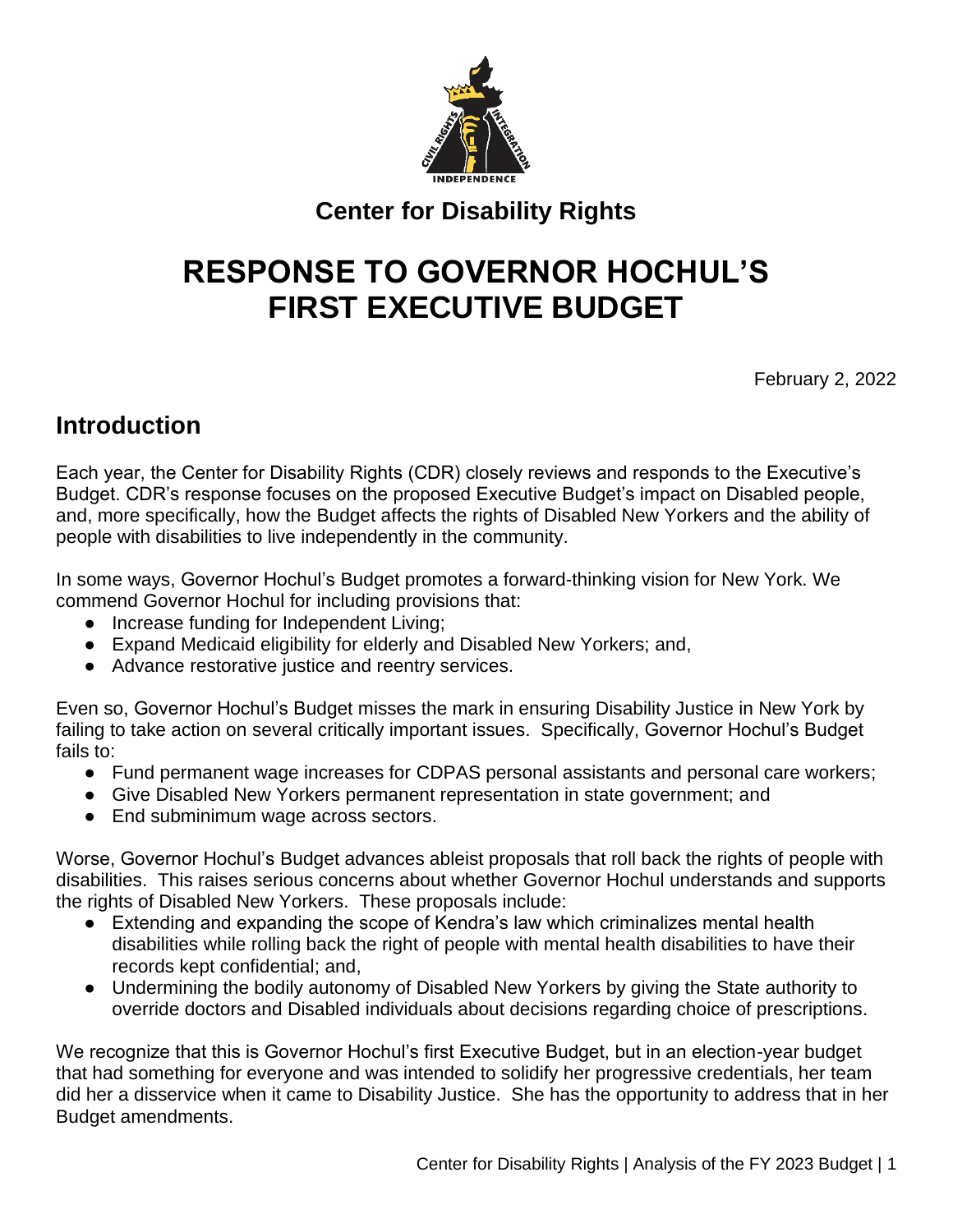

### **Center for Disability Rights**

# **RESPONSE TO GOVERNOR HOCHUL'S FIRST EXECUTIVE BUDGET**

February 2, 2022

### **Introduction**

Each year, the Center for Disability Rights (CDR) closely reviews and responds to the Executive's Budget. CDR's response focuses on the proposed Executive Budget's impact on Disabled people, and, more specifically, how the Budget affects the rights of Disabled New Yorkers and the ability of people with disabilities to live independently in the community.

In some ways, Governor Hochul's Budget promotes a forward-thinking vision for New York. We commend Governor Hochul for including provisions that:

- Increase funding for Independent Living;
- Expand Medicaid eligibility for elderly and Disabled New Yorkers; and,
- Advance restorative justice and reentry services.

Even so, Governor Hochul's Budget misses the mark in ensuring Disability Justice in New York by failing to take action on several critically important issues. Specifically, Governor Hochul's Budget fails to:

- Fund permanent wage increases for CDPAS personal assistants and personal care workers;
- Give Disabled New Yorkers permanent representation in state government; and
- End subminimum wage across sectors.

Worse, Governor Hochul's Budget advances ableist proposals that roll back the rights of people with disabilities. This raises serious concerns about whether Governor Hochul understands and supports the rights of Disabled New Yorkers. These proposals include:

- Extending and expanding the scope of Kendra's law which criminalizes mental health disabilities while rolling back the right of people with mental health disabilities to have their records kept confidential; and,
- Undermining the bodily autonomy of Disabled New Yorkers by giving the State authority to override doctors and Disabled individuals about decisions regarding choice of prescriptions.

We recognize that this is Governor Hochul's first Executive Budget, but in an election-year budget that had something for everyone and was intended to solidify her progressive credentials, her team did her a disservice when it came to Disability Justice. She has the opportunity to address that in her Budget amendments.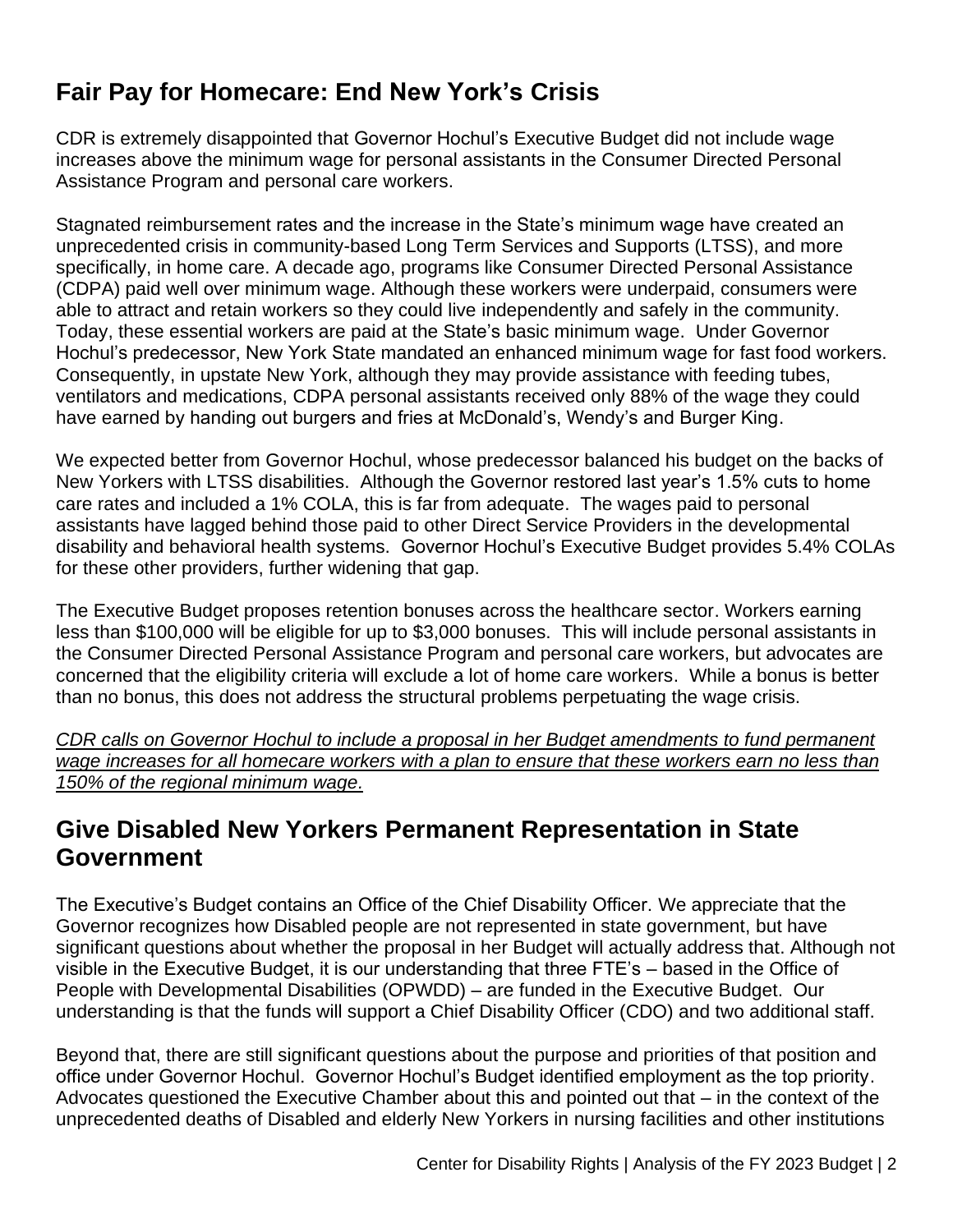### **Fair Pay for Homecare: End New York's Crisis**

CDR is extremely disappointed that Governor Hochul's Executive Budget did not include wage increases above the minimum wage for personal assistants in the Consumer Directed Personal Assistance Program and personal care workers.

Stagnated reimbursement rates and the increase in the State's minimum wage have created an unprecedented crisis in community-based Long Term Services and Supports (LTSS), and more specifically, in home care. A decade ago, programs like Consumer Directed Personal Assistance (CDPA) paid well over minimum wage. Although these workers were underpaid, consumers were able to attract and retain workers so they could live independently and safely in the community. Today, these essential workers are paid at the State's basic minimum wage. Under Governor Hochul's predecessor, New York State mandated an enhanced minimum wage for fast food workers. Consequently, in upstate New York, although they may provide assistance with feeding tubes, ventilators and medications, CDPA personal assistants received only 88% of the wage they could have earned by handing out burgers and fries at McDonald's, Wendy's and Burger King.

We expected better from Governor Hochul, whose predecessor balanced his budget on the backs of New Yorkers with LTSS disabilities. Although the Governor restored last year's 1.5% cuts to home care rates and included a 1% COLA, this is far from adequate. The wages paid to personal assistants have lagged behind those paid to other Direct Service Providers in the developmental disability and behavioral health systems. Governor Hochul's Executive Budget provides 5.4% COLAs for these other providers, further widening that gap.

The Executive Budget proposes retention bonuses across the healthcare sector. Workers earning less than \$100,000 will be eligible for up to \$3,000 bonuses. This will include personal assistants in the Consumer Directed Personal Assistance Program and personal care workers, but advocates are concerned that the eligibility criteria will exclude a lot of home care workers. While a bonus is better than no bonus, this does not address the structural problems perpetuating the wage crisis.

*CDR calls on Governor Hochul to include a proposal in her Budget amendments to fund permanent*  wage increases for all homecare workers with a plan to ensure that these workers earn no less than *150% of the regional minimum wage.* 

### **Give Disabled New Yorkers Permanent Representation in State Government**

The Executive's Budget contains an Office of the Chief Disability Officer. We appreciate that the Governor recognizes how Disabled people are not represented in state government, but have significant questions about whether the proposal in her Budget will actually address that. Although not visible in the Executive Budget, it is our understanding that three FTE's – based in the Office of People with Developmental Disabilities (OPWDD) – are funded in the Executive Budget. Our understanding is that the funds will support a Chief Disability Officer (CDO) and two additional staff.

Beyond that, there are still significant questions about the purpose and priorities of that position and office under Governor Hochul. Governor Hochul's Budget identified employment as the top priority. Advocates questioned the Executive Chamber about this and pointed out that – in the context of the unprecedented deaths of Disabled and elderly New Yorkers in nursing facilities and other institutions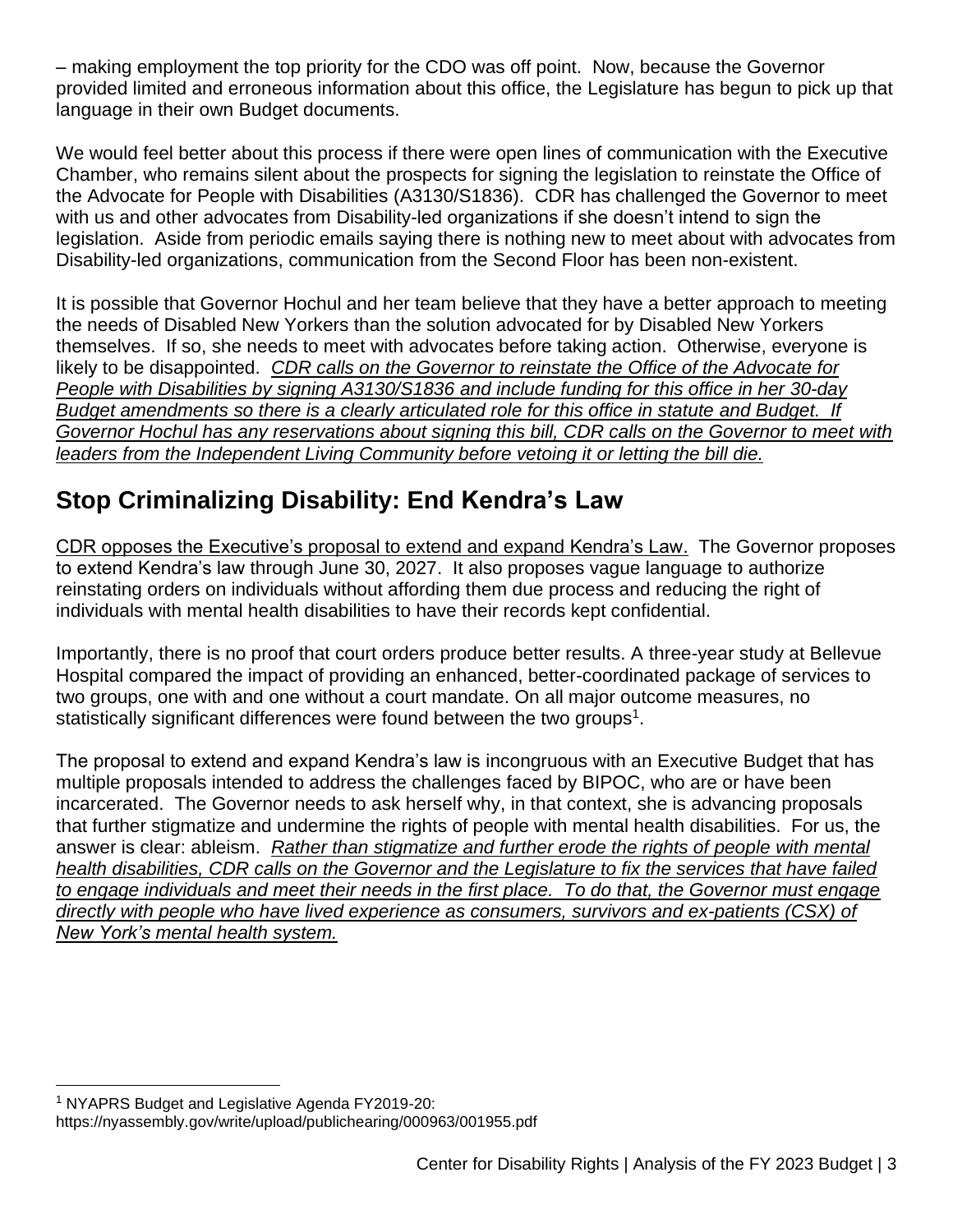– making employment the top priority for the CDO was off point. Now, because the Governor provided limited and erroneous information about this office, the Legislature has begun to pick up that language in their own Budget documents.

We would feel better about this process if there were open lines of communication with the Executive Chamber, who remains silent about the prospects for signing the legislation to reinstate the Office of the Advocate for People with Disabilities (A3130/S1836). CDR has challenged the Governor to meet with us and other advocates from Disability-led organizations if she doesn't intend to sign the legislation. Aside from periodic emails saying there is nothing new to meet about with advocates from Disability-led organizations, communication from the Second Floor has been non-existent.

It is possible that Governor Hochul and her team believe that they have a better approach to meeting the needs of Disabled New Yorkers than the solution advocated for by Disabled New Yorkers themselves. If so, she needs to meet with advocates before taking action. Otherwise, everyone is likely to be disappointed. *CDR calls on the Governor to reinstate the Office of the Advocate for People with Disabilities by signing A3130/S1836 and include funding for this office in her 30-day Budget amendments so there is a clearly articulated role for this office in statute and Budget. If Governor Hochul has any reservations about signing this bill, CDR calls on the Governor to meet with leaders from the Independent Living Community before vetoing it or letting the bill die.*

# **Stop Criminalizing Disability: End Kendra's Law**

CDR opposes the Executive's proposal to extend and expand Kendra's Law. The Governor proposes to extend Kendra's law through June 30, 2027. It also proposes vague language to authorize reinstating orders on individuals without affording them due process and reducing the right of individuals with mental health disabilities to have their records kept confidential.

Importantly, there is no proof that court orders produce better results. A three-year study at Bellevue Hospital compared the impact of providing an enhanced, better-coordinated package of services to two groups, one with and one without a court mandate. On all major outcome measures, no statistically significant differences were found between the two groups<sup>1</sup>.

The proposal to extend and expand Kendra's law is incongruous with an Executive Budget that has multiple proposals intended to address the challenges faced by BIPOC, who are or have been incarcerated. The Governor needs to ask herself why, in that context, she is advancing proposals that further stigmatize and undermine the rights of people with mental health disabilities. For us, the answer is clear: ableism. *Rather than stigmatize and further erode the rights of people with mental health disabilities, CDR calls on the Governor and the Legislature to fix the services that have failed to engage individuals and meet their needs in the first place. To do that, the Governor must engage directly with people who have lived experience as consumers, survivors and ex-patients (CSX) of New York's mental health system.*

<sup>&</sup>lt;sup>1</sup> NYAPRS Budget and Legislative Agenda FY2019-20:

https://nyassembly.gov/write/upload/publichearing/000963/001955.pdf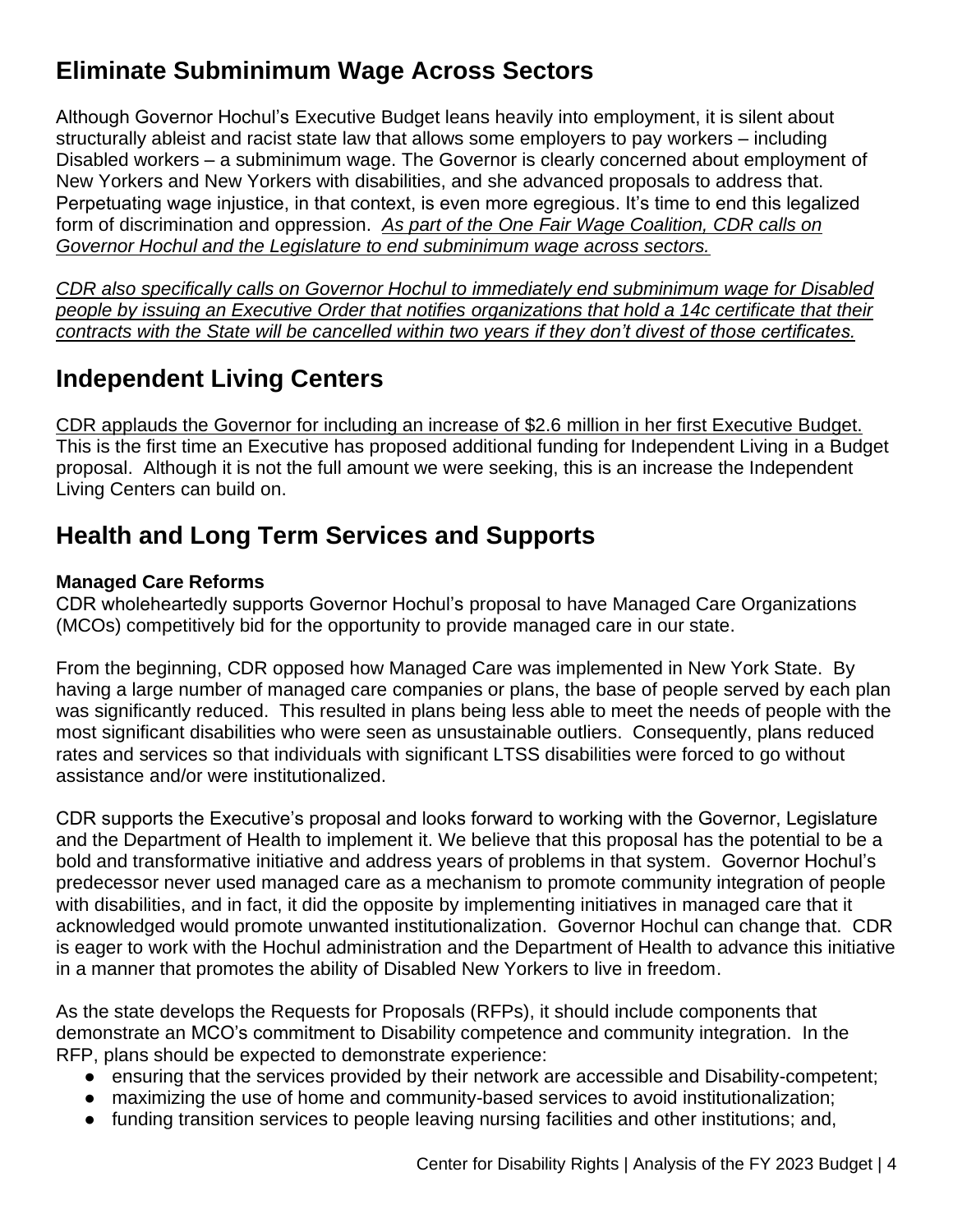# **Eliminate Subminimum Wage Across Sectors**

Although Governor Hochul's Executive Budget leans heavily into employment, it is silent about structurally ableist and racist state law that allows some employers to pay workers – including Disabled workers – a subminimum wage. The Governor is clearly concerned about employment of New Yorkers and New Yorkers with disabilities, and she advanced proposals to address that. Perpetuating wage injustice, in that context, is even more egregious. It's time to end this legalized form of discrimination and oppression. *As part of the One Fair Wage Coalition, CDR calls on Governor Hochul and the Legislature to end subminimum wage across sectors.* 

*CDR also specifically calls on Governor Hochul to immediately end subminimum wage for Disabled people by issuing an Executive Order that notifies organizations that hold a 14c certificate that their contracts with the State will be cancelled within two years if they don't divest of those certificates.*

# **Independent Living Centers**

CDR applauds the Governor for including an increase of \$2.6 million in her first Executive Budget. This is the first time an Executive has proposed additional funding for Independent Living in a Budget proposal. Although it is not the full amount we were seeking, this is an increase the Independent Living Centers can build on.

### **Health and Long Term Services and Supports**

#### **Managed Care Reforms**

CDR wholeheartedly supports Governor Hochul's proposal to have Managed Care Organizations (MCOs) competitively bid for the opportunity to provide managed care in our state.

From the beginning, CDR opposed how Managed Care was implemented in New York State. By having a large number of managed care companies or plans, the base of people served by each plan was significantly reduced. This resulted in plans being less able to meet the needs of people with the most significant disabilities who were seen as unsustainable outliers. Consequently, plans reduced rates and services so that individuals with significant LTSS disabilities were forced to go without assistance and/or were institutionalized.

CDR supports the Executive's proposal and looks forward to working with the Governor, Legislature and the Department of Health to implement it. We believe that this proposal has the potential to be a bold and transformative initiative and address years of problems in that system. Governor Hochul's predecessor never used managed care as a mechanism to promote community integration of people with disabilities, and in fact, it did the opposite by implementing initiatives in managed care that it acknowledged would promote unwanted institutionalization. Governor Hochul can change that. CDR is eager to work with the Hochul administration and the Department of Health to advance this initiative in a manner that promotes the ability of Disabled New Yorkers to live in freedom.

As the state develops the Requests for Proposals (RFPs), it should include components that demonstrate an MCO's commitment to Disability competence and community integration. In the RFP, plans should be expected to demonstrate experience:

- ensuring that the services provided by their network are accessible and Disability-competent;
- maximizing the use of home and community-based services to avoid institutionalization;
- funding transition services to people leaving nursing facilities and other institutions; and,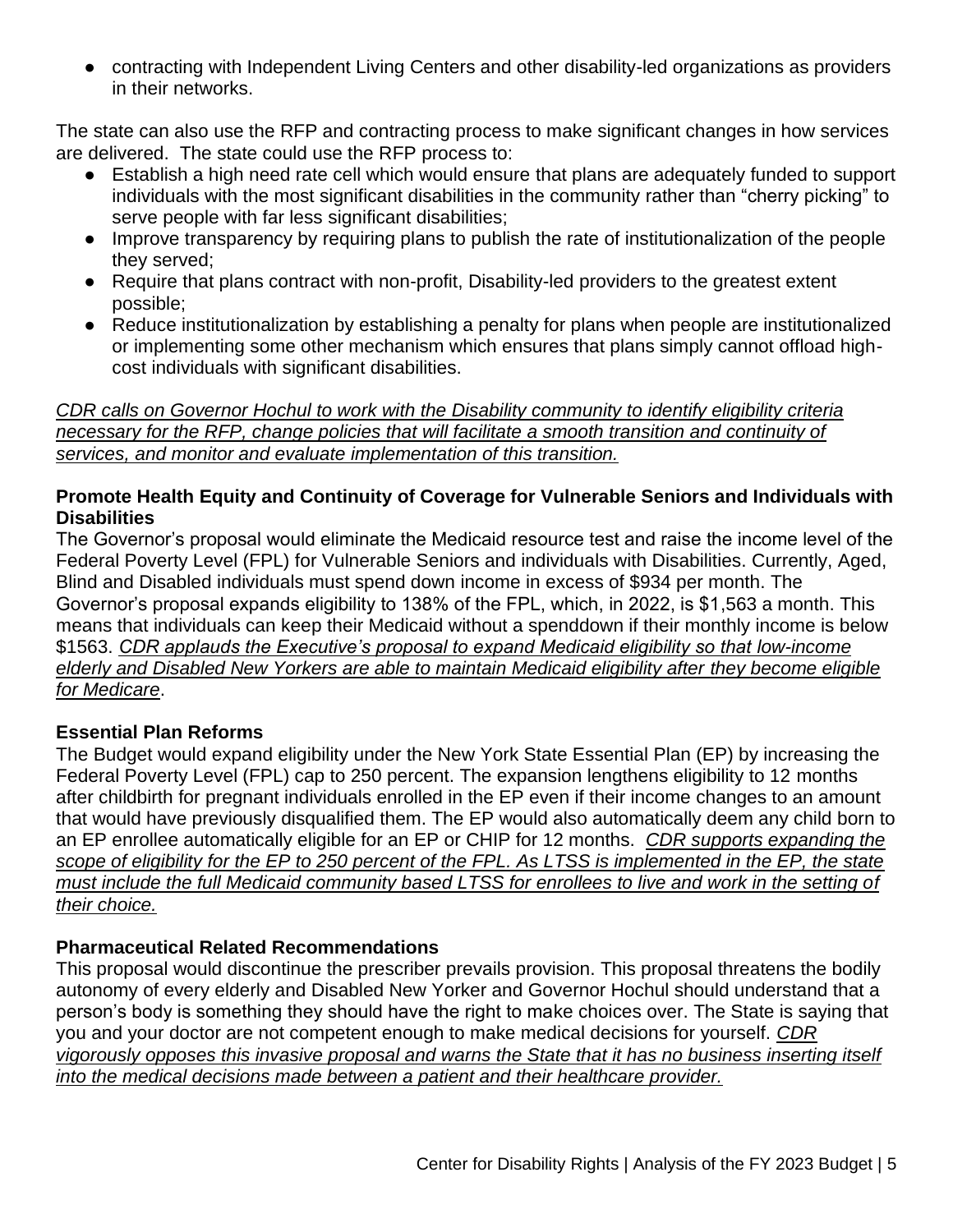● contracting with Independent Living Centers and other disability-led organizations as providers in their networks.

The state can also use the RFP and contracting process to make significant changes in how services are delivered. The state could use the RFP process to:

- Establish a high need rate cell which would ensure that plans are adequately funded to support individuals with the most significant disabilities in the community rather than "cherry picking" to serve people with far less significant disabilities:
- Improve transparency by requiring plans to publish the rate of institutionalization of the people they served;
- Require that plans contract with non-profit, Disability-led providers to the greatest extent possible;
- Reduce institutionalization by establishing a penalty for plans when people are institutionalized or implementing some other mechanism which ensures that plans simply cannot offload highcost individuals with significant disabilities.

*CDR calls on Governor Hochul to work with the Disability community to identify eligibility criteria necessary for the RFP, change policies that will facilitate a smooth transition and continuity of services, and monitor and evaluate implementation of this transition.*

#### **Promote Health Equity and Continuity of Coverage for Vulnerable Seniors and Individuals with Disabilities**

The Governor's proposal would eliminate the Medicaid resource test and raise the income level of the Federal Poverty Level (FPL) for Vulnerable Seniors and individuals with Disabilities. Currently, Aged, Blind and Disabled individuals must spend down income in excess of \$934 per month. The Governor's proposal expands eligibility to 138% of the FPL, which, in 2022, is \$1,563 a month. This means that individuals can keep their Medicaid without a spenddown if their monthly income is below \$1563. *CDR applauds the Executive's proposal to expand Medicaid eligibility so that low-income elderly and Disabled New Yorkers are able to maintain Medicaid eligibility after they become eligible for Medicare*.

#### **Essential Plan Reforms**

The Budget would expand eligibility under the New York State Essential Plan (EP) by increasing the Federal Poverty Level (FPL) cap to 250 percent. The expansion lengthens eligibility to 12 months after childbirth for pregnant individuals enrolled in the EP even if their income changes to an amount that would have previously disqualified them. The EP would also automatically deem any child born to an EP enrollee automatically eligible for an EP or CHIP for 12 months. *CDR supports expanding the scope of eligibility for the EP to 250 percent of the FPL. As LTSS is implemented in the EP, the state must include the full Medicaid community based LTSS for enrollees to live and work in the setting of their choice.*

#### **Pharmaceutical Related Recommendations**

This proposal would discontinue the prescriber prevails provision. This proposal threatens the bodily autonomy of every elderly and Disabled New Yorker and Governor Hochul should understand that a person's body is something they should have the right to make choices over. The State is saying that you and your doctor are not competent enough to make medical decisions for yourself. *CDR vigorously opposes this invasive proposal and warns the State that it has no business inserting itself into the medical decisions made between a patient and their healthcare provider.*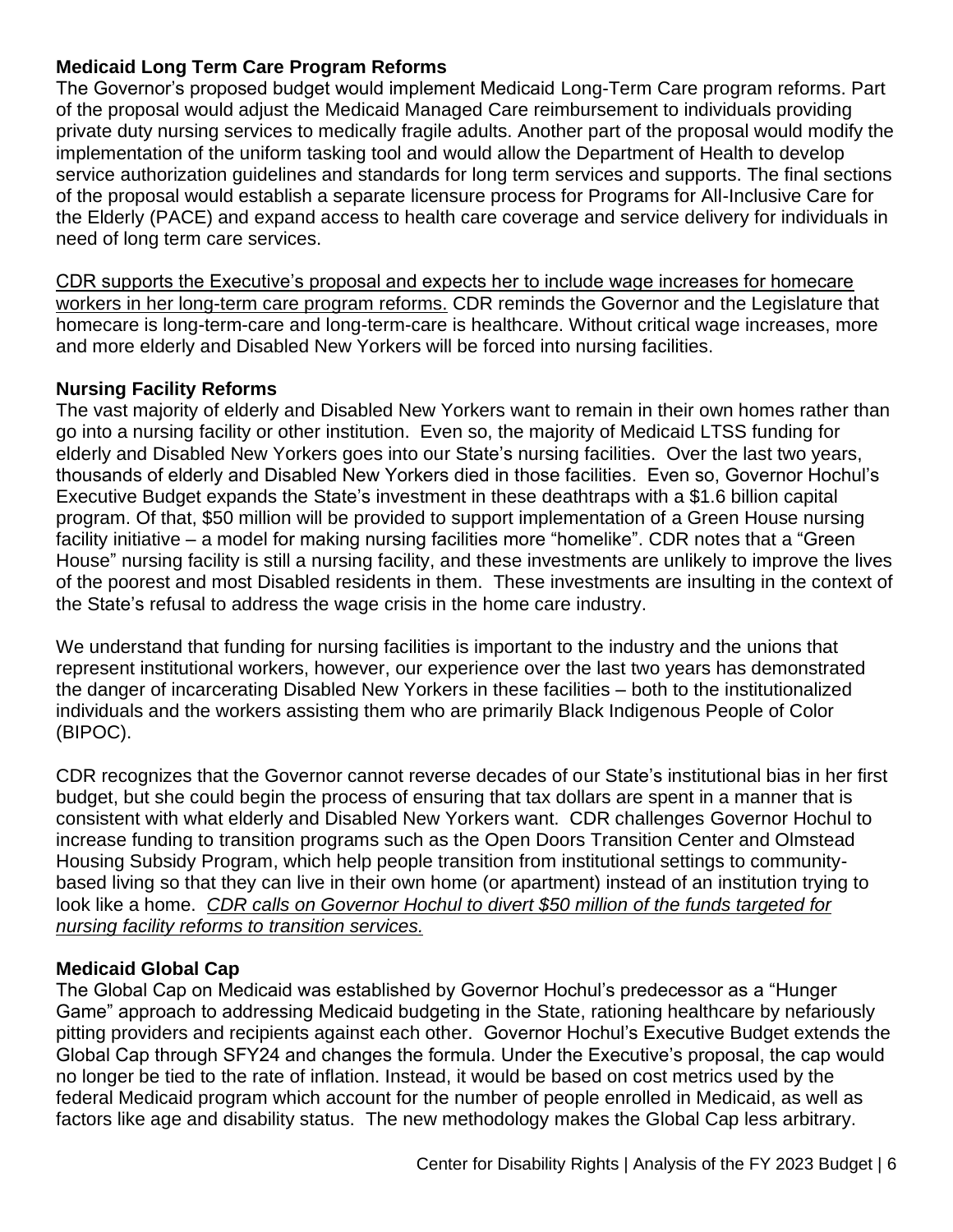#### **Medicaid Long Term Care Program Reforms**

The Governor's proposed budget would implement Medicaid Long-Term Care program reforms. Part of the proposal would adjust the Medicaid Managed Care reimbursement to individuals providing private duty nursing services to medically fragile adults. Another part of the proposal would modify the implementation of the uniform tasking tool and would allow the Department of Health to develop service authorization guidelines and standards for long term services and supports. The final sections of the proposal would establish a separate licensure process for Programs for All-Inclusive Care for the Elderly (PACE) and expand access to health care coverage and service delivery for individuals in need of long term care services.

CDR supports the Executive's proposal and expects her to include wage increases for homecare workers in her long-term care program reforms. CDR reminds the Governor and the Legislature that homecare is long-term-care and long-term-care is healthcare. Without critical wage increases, more and more elderly and Disabled New Yorkers will be forced into nursing facilities.

#### **Nursing Facility Reforms**

The vast majority of elderly and Disabled New Yorkers want to remain in their own homes rather than go into a nursing facility or other institution. Even so, the majority of Medicaid LTSS funding for elderly and Disabled New Yorkers goes into our State's nursing facilities. Over the last two years, thousands of elderly and Disabled New Yorkers died in those facilities. Even so, Governor Hochul's Executive Budget expands the State's investment in these deathtraps with a \$1.6 billion capital program. Of that, \$50 million will be provided to support implementation of a Green House nursing facility initiative – a model for making nursing facilities more "homelike". CDR notes that a "Green House" nursing facility is still a nursing facility, and these investments are unlikely to improve the lives of the poorest and most Disabled residents in them. These investments are insulting in the context of the State's refusal to address the wage crisis in the home care industry.

We understand that funding for nursing facilities is important to the industry and the unions that represent institutional workers, however, our experience over the last two years has demonstrated the danger of incarcerating Disabled New Yorkers in these facilities – both to the institutionalized individuals and the workers assisting them who are primarily Black Indigenous People of Color (BIPOC).

CDR recognizes that the Governor cannot reverse decades of our State's institutional bias in her first budget, but she could begin the process of ensuring that tax dollars are spent in a manner that is consistent with what elderly and Disabled New Yorkers want. CDR challenges Governor Hochul to increase funding to transition programs such as the Open Doors Transition Center and Olmstead Housing Subsidy Program, which help people transition from institutional settings to communitybased living so that they can live in their own home (or apartment) instead of an institution trying to look like a home. *CDR calls on Governor Hochul to divert \$50 million of the funds targeted for nursing facility reforms to transition services.*

#### **Medicaid Global Cap**

The Global Cap on Medicaid was established by Governor Hochul's predecessor as a "Hunger Game" approach to addressing Medicaid budgeting in the State, rationing healthcare by nefariously pitting providers and recipients against each other. Governor Hochul's Executive Budget extends the Global Cap through SFY24 and changes the formula. Under the Executive's proposal, the cap would no longer be tied to the rate of inflation. Instead, it would be based on cost metrics used by the federal Medicaid program which account for the number of people enrolled in Medicaid, as well as factors like age and disability status. The new methodology makes the Global Cap less arbitrary.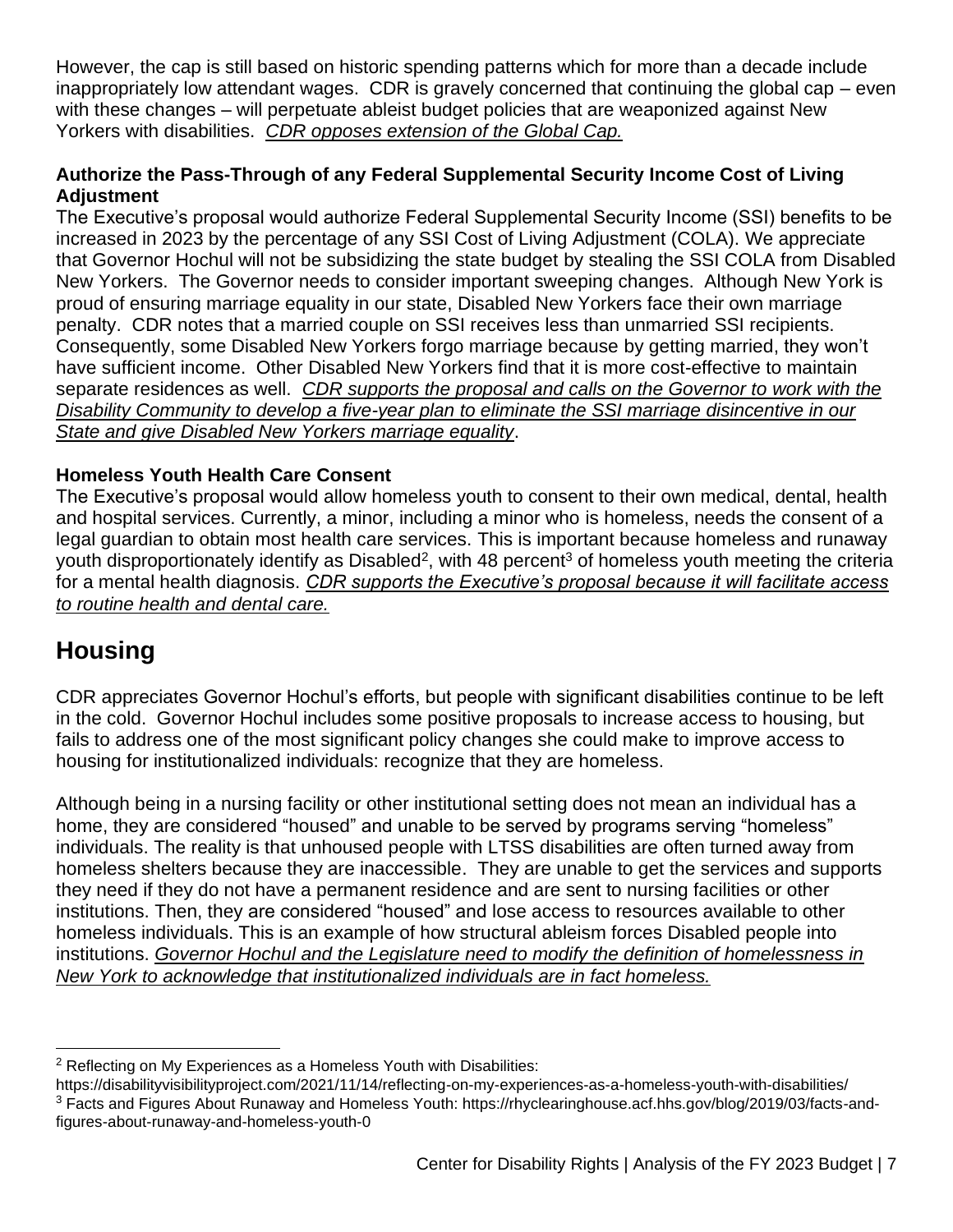However, the cap is still based on historic spending patterns which for more than a decade include inappropriately low attendant wages. CDR is gravely concerned that continuing the global cap – even with these changes – will perpetuate ableist budget policies that are weaponized against New Yorkers with disabilities. *CDR opposes extension of the Global Cap.*

#### **Authorize the Pass-Through of any Federal Supplemental Security Income Cost of Living Adjustment**

The Executive's proposal would authorize Federal Supplemental Security Income (SSI) benefits to be increased in 2023 by the percentage of any SSI Cost of Living Adjustment (COLA). We appreciate that Governor Hochul will not be subsidizing the state budget by stealing the SSI COLA from Disabled New Yorkers. The Governor needs to consider important sweeping changes. Although New York is proud of ensuring marriage equality in our state, Disabled New Yorkers face their own marriage penalty. CDR notes that a married couple on SSI receives less than unmarried SSI recipients. Consequently, some Disabled New Yorkers forgo marriage because by getting married, they won't have sufficient income. Other Disabled New Yorkers find that it is more cost-effective to maintain separate residences as well. *CDR supports the proposal and calls on the Governor to work with the Disability Community to develop a five-year plan to eliminate the SSI marriage disincentive in our State and give Disabled New Yorkers marriage equality*.

#### **Homeless Youth Health Care Consent**

The Executive's proposal would allow homeless youth to consent to their own medical, dental, health and hospital services. Currently, a minor, including a minor who is homeless, needs the consent of a legal guardian to obtain most health care services. This is important because homeless and runaway youth disproportionately identify as Disabled<sup>2</sup>, with 48 percent<sup>3</sup> of homeless youth meeting the criteria for a mental health diagnosis. *CDR supports the Executive's proposal because it will facilitate access to routine health and dental care.*

### **Housing**

CDR appreciates Governor Hochul's efforts, but people with significant disabilities continue to be left in the cold. Governor Hochul includes some positive proposals to increase access to housing, but fails to address one of the most significant policy changes she could make to improve access to housing for institutionalized individuals: recognize that they are homeless.

Although being in a nursing facility or other institutional setting does not mean an individual has a home, they are considered "housed" and unable to be served by programs serving "homeless" individuals. The reality is that unhoused people with LTSS disabilities are often turned away from homeless shelters because they are inaccessible. They are unable to get the services and supports they need if they do not have a permanent residence and are sent to nursing facilities or other institutions. Then, they are considered "housed" and lose access to resources available to other homeless individuals. This is an example of how structural ableism forces Disabled people into institutions. *Governor Hochul and the Legislature need to modify the definition of homelessness in New York to acknowledge that institutionalized individuals are in fact homeless.*

<sup>&</sup>lt;sup>2</sup> Reflecting on My Experiences as a Homeless Youth with Disabilities:

https://disabilityvisibilityproject.com/2021/11/14/reflecting-on-my-experiences-as-a-homeless-youth-with-disabilities/ <sup>3</sup> Facts and Figures About Runaway and Homeless Youth: https://rhyclearinghouse.acf.hhs.gov/blog/2019/03/facts-andfigures-about-runaway-and-homeless-youth-0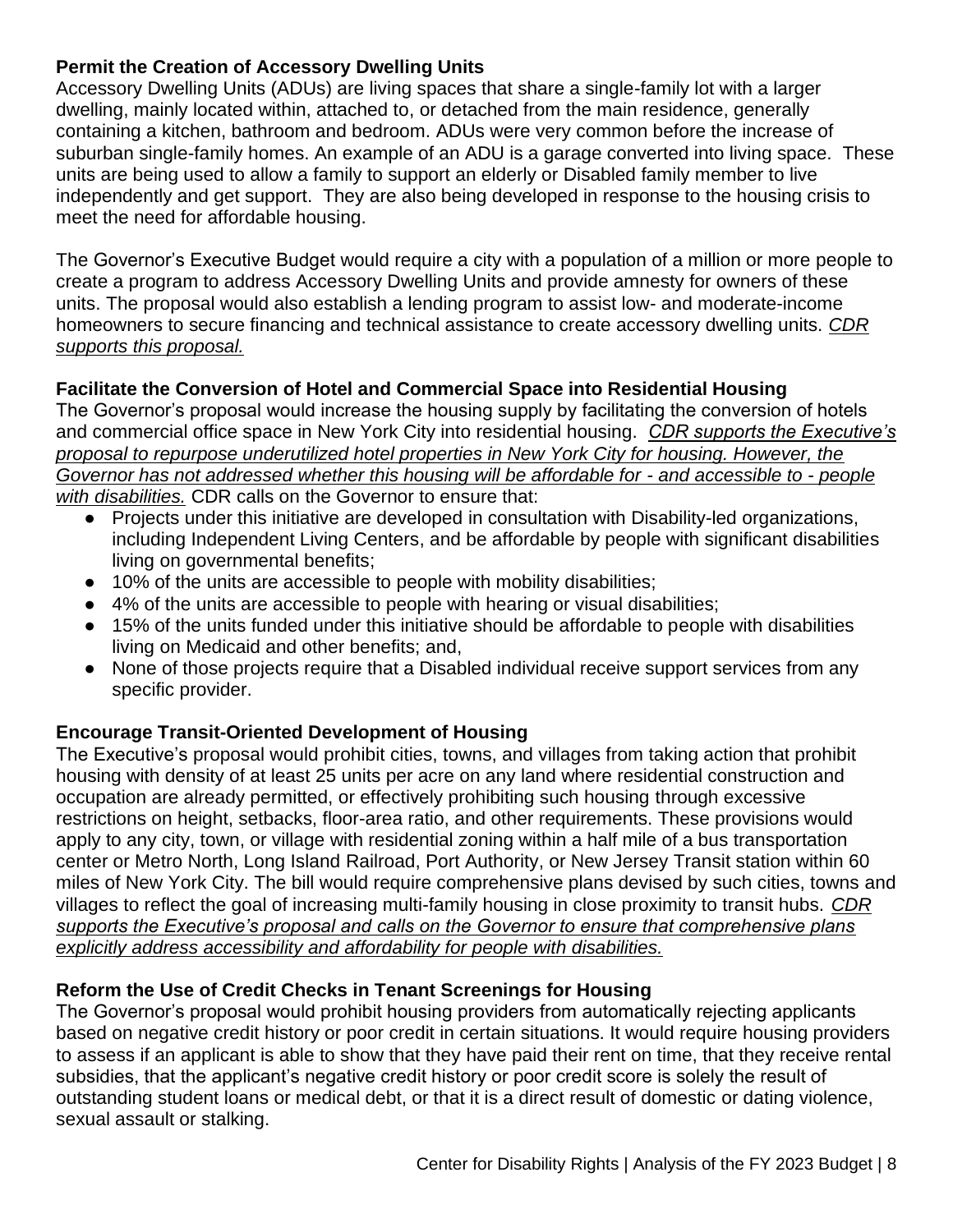#### **Permit the Creation of Accessory Dwelling Units**

Accessory Dwelling Units (ADUs) are living spaces that share a single-family lot with a larger dwelling, mainly located within, attached to, or detached from the main residence, generally containing a kitchen, bathroom and bedroom. ADUs were very common before the increase of suburban single-family homes. An example of an ADU is a garage converted into living space. These units are being used to allow a family to support an elderly or Disabled family member to live independently and get support. They are also being developed in response to the housing crisis to meet the need for affordable housing.

The Governor's Executive Budget would require a city with a population of a million or more people to create a program to address Accessory Dwelling Units and provide amnesty for owners of these units. The proposal would also establish a lending program to assist low- and moderate-income homeowners to secure financing and technical assistance to create accessory dwelling units. *CDR supports this proposal.* 

#### **Facilitate the Conversion of Hotel and Commercial Space into Residential Housing**

The Governor's proposal would increase the housing supply by facilitating the conversion of hotels and commercial office space in New York City into residential housing. *CDR supports the Executive's proposal to repurpose underutilized hotel properties in New York City for housing. However, the Governor has not addressed whether this housing will be affordable for - and accessible to - people with disabilities.* CDR calls on the Governor to ensure that:

- Projects under this initiative are developed in consultation with Disability-led organizations, including Independent Living Centers, and be affordable by people with significant disabilities living on governmental benefits;
- 10% of the units are accessible to people with mobility disabilities;
- 4% of the units are accessible to people with hearing or visual disabilities;
- 15% of the units funded under this initiative should be affordable to people with disabilities living on Medicaid and other benefits; and,
- None of those projects require that a Disabled individual receive support services from any specific provider.

#### **Encourage Transit-Oriented Development of Housing**

The Executive's proposal would prohibit cities, towns, and villages from taking action that prohibit housing with density of at least 25 units per acre on any land where residential construction and occupation are already permitted, or effectively prohibiting such housing through excessive restrictions on height, setbacks, floor-area ratio, and other requirements. These provisions would apply to any city, town, or village with residential zoning within a half mile of a bus transportation center or Metro North, Long Island Railroad, Port Authority, or New Jersey Transit station within 60 miles of New York City. The bill would require comprehensive plans devised by such cities, towns and villages to reflect the goal of increasing multi-family housing in close proximity to transit hubs. *CDR supports the Executive's proposal and calls on the Governor to ensure that comprehensive plans explicitly address accessibility and affordability for people with disabilities.*

#### **Reform the Use of Credit Checks in Tenant Screenings for Housing**

The Governor's proposal would prohibit housing providers from automatically rejecting applicants based on negative credit history or poor credit in certain situations. It would require housing providers to assess if an applicant is able to show that they have paid their rent on time, that they receive rental subsidies, that the applicant's negative credit history or poor credit score is solely the result of outstanding student loans or medical debt, or that it is a direct result of domestic or dating violence, sexual assault or stalking.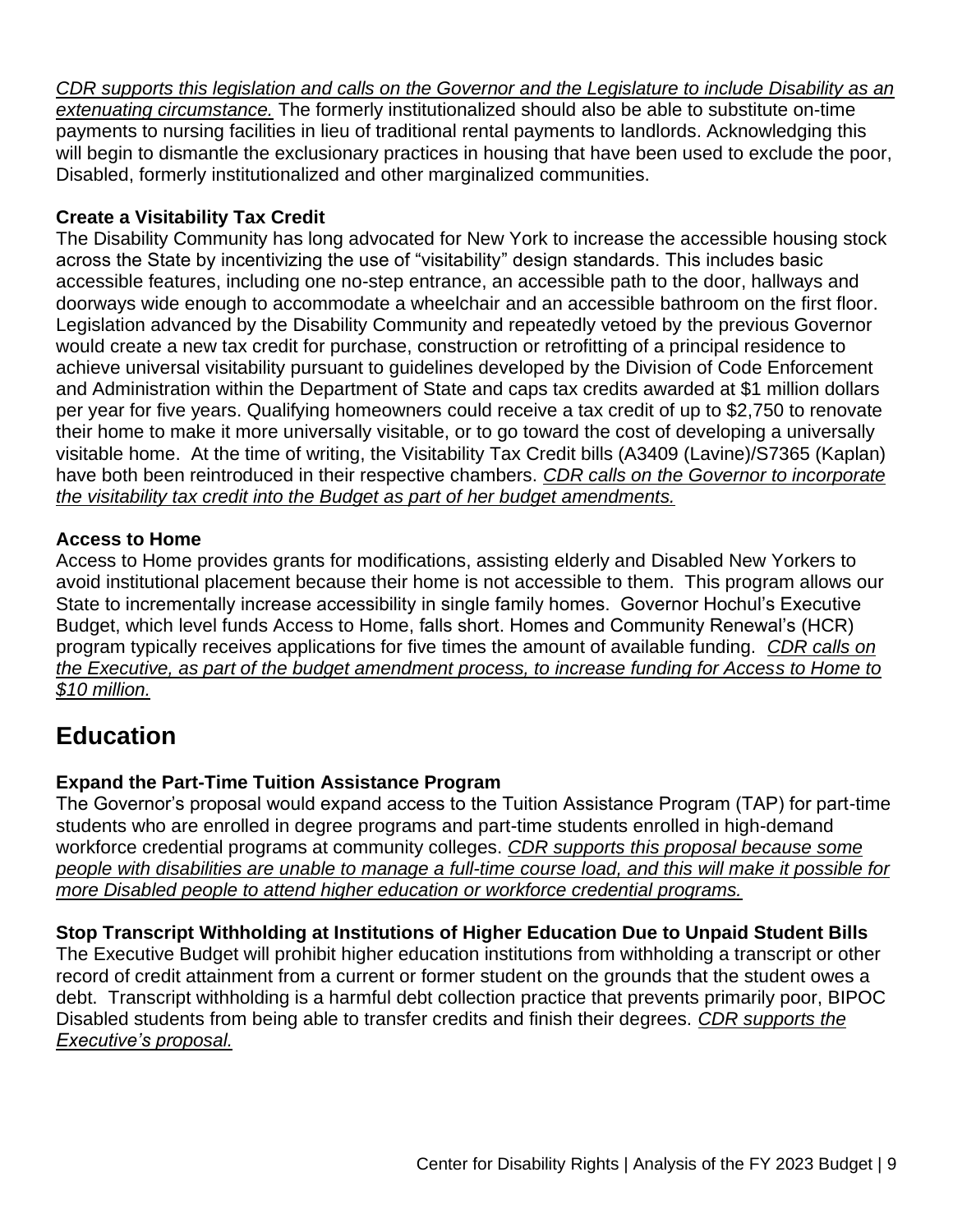*CDR supports this legislation and calls on the Governor and the Legislature to include Disability as an extenuating circumstance.* The formerly institutionalized should also be able to substitute on-time payments to nursing facilities in lieu of traditional rental payments to landlords. Acknowledging this will begin to dismantle the exclusionary practices in housing that have been used to exclude the poor, Disabled, formerly institutionalized and other marginalized communities.

#### **Create a Visitability Tax Credit**

The Disability Community has long advocated for New York to increase the accessible housing stock across the State by incentivizing the use of "visitability" design standards. This includes basic accessible features, including one no-step entrance, an accessible path to the door, hallways and doorways wide enough to accommodate a wheelchair and an accessible bathroom on the first floor. Legislation advanced by the Disability Community and repeatedly vetoed by the previous Governor would create a new tax credit for purchase, construction or retrofitting of a principal residence to achieve universal visitability pursuant to guidelines developed by the Division of Code Enforcement and Administration within the Department of State and caps tax credits awarded at \$1 million dollars per year for five years. Qualifying homeowners could receive a tax credit of up to \$2,750 to renovate their home to make it more universally visitable, or to go toward the cost of developing a universally visitable home. At the time of writing, the Visitability Tax Credit bills (A3409 (Lavine)/S7365 (Kaplan) have both been reintroduced in their respective chambers. *CDR calls on the Governor to incorporate the visitability tax credit into the Budget as part of her budget amendments.*

#### **Access to Home**

Access to Home provides grants for modifications, assisting elderly and Disabled New Yorkers to avoid institutional placement because their home is not accessible to them. This program allows our State to incrementally increase accessibility in single family homes. Governor Hochul's Executive Budget, which level funds Access to Home, falls short. Homes and Community Renewal's (HCR) program typically receives applications for five times the amount of available funding. *CDR calls on the Executive, as part of the budget amendment process, to increase funding for Access to Home to \$10 million.*

### **Education**

#### **Expand the Part-Time Tuition Assistance Program**

The Governor's proposal would expand access to the Tuition Assistance Program (TAP) for part-time students who are enrolled in degree programs and part-time students enrolled in high-demand workforce credential programs at community colleges. *CDR supports this proposal because some people with disabilities are unable to manage a full-time course load, and this will make it possible for more Disabled people to attend higher education or workforce credential programs.*

#### **Stop Transcript Withholding at Institutions of Higher Education Due to Unpaid Student Bills**

The Executive Budget will prohibit higher education institutions from withholding a transcript or other record of credit attainment from a current or former student on the grounds that the student owes a debt. Transcript withholding is a harmful debt collection practice that prevents primarily poor, BIPOC Disabled students from being able to transfer credits and finish their degrees. *CDR supports the Executive's proposal.*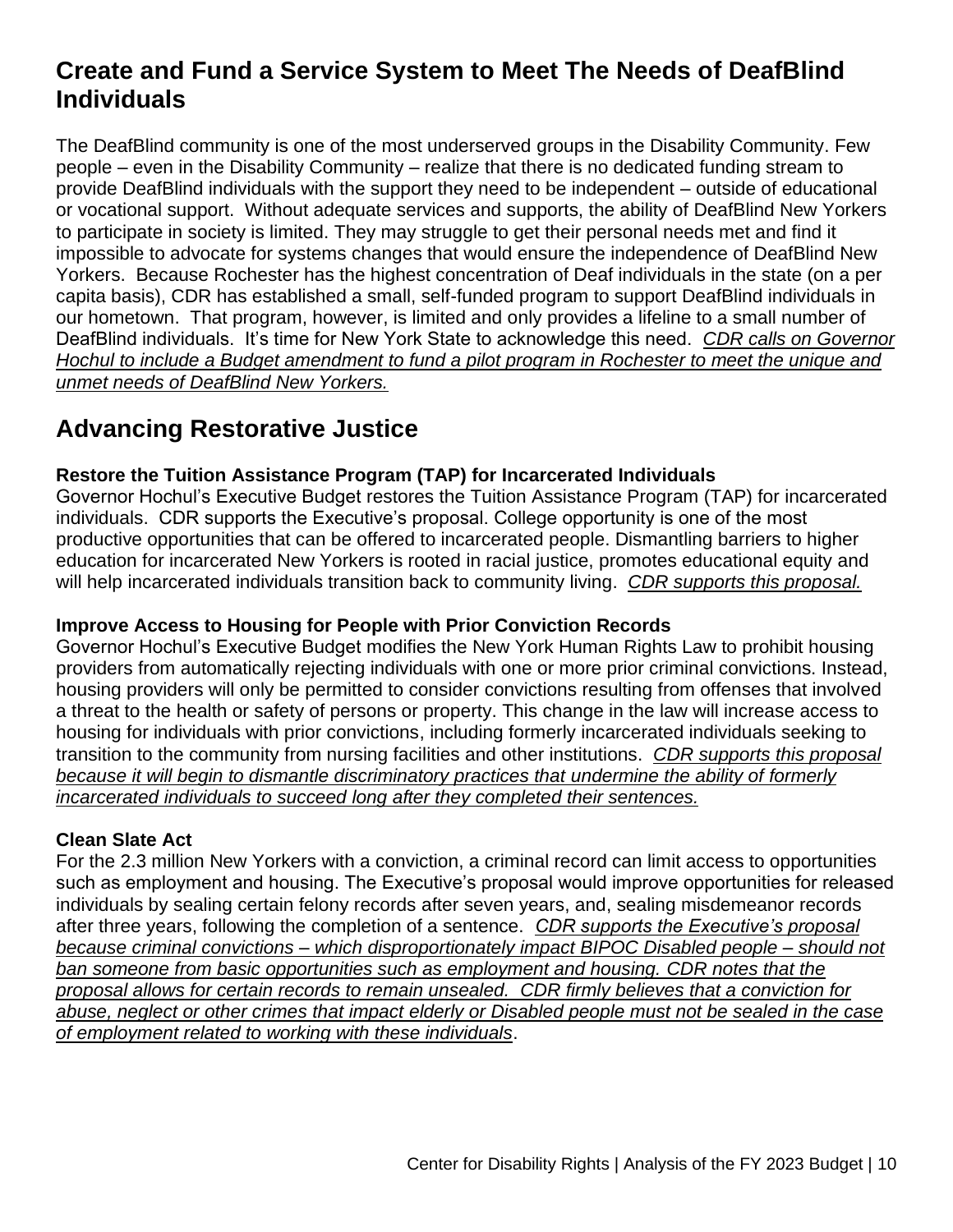### **Create and Fund a Service System to Meet The Needs of DeafBlind Individuals**

The DeafBlind community is one of the most underserved groups in the Disability Community. Few people – even in the Disability Community – realize that there is no dedicated funding stream to provide DeafBlind individuals with the support they need to be independent – outside of educational or vocational support. Without adequate services and supports, the ability of DeafBlind New Yorkers to participate in society is limited. They may struggle to get their personal needs met and find it impossible to advocate for systems changes that would ensure the independence of DeafBlind New Yorkers. Because Rochester has the highest concentration of Deaf individuals in the state (on a per capita basis), CDR has established a small, self-funded program to support DeafBlind individuals in our hometown. That program, however, is limited and only provides a lifeline to a small number of DeafBlind individuals. It's time for New York State to acknowledge this need. *CDR calls on Governor Hochul to include a Budget amendment to fund a pilot program in Rochester to meet the unique and unmet needs of DeafBlind New Yorkers.*

### **Advancing Restorative Justice**

#### **Restore the Tuition Assistance Program (TAP) for Incarcerated Individuals**

Governor Hochul's Executive Budget restores the Tuition Assistance Program (TAP) for incarcerated individuals. CDR supports the Executive's proposal. College opportunity is one of the most productive opportunities that can be offered to incarcerated people. Dismantling barriers to higher education for incarcerated New Yorkers is rooted in racial justice, promotes educational equity and will help incarcerated individuals transition back to community living. *CDR supports this proposal.*

#### **Improve Access to Housing for People with Prior Conviction Records**

Governor Hochul's Executive Budget modifies the New York Human Rights Law to prohibit housing providers from automatically rejecting individuals with one or more prior criminal convictions. Instead, housing providers will only be permitted to consider convictions resulting from offenses that involved a threat to the health or safety of persons or property. This change in the law will increase access to housing for individuals with prior convictions, including formerly incarcerated individuals seeking to transition to the community from nursing facilities and other institutions. *CDR supports this proposal because it will begin to dismantle discriminatory practices that undermine the ability of formerly incarcerated individuals to succeed long after they completed their sentences.*

#### **Clean Slate Act**

For the 2.3 million New Yorkers with a conviction, a criminal record can limit access to opportunities such as employment and housing. The Executive's proposal would improve opportunities for released individuals by sealing certain felony records after seven years, and, sealing misdemeanor records after three years, following the completion of a sentence. *CDR supports the Executive's proposal because criminal convictions – which disproportionately impact BIPOC Disabled people – should not ban someone from basic opportunities such as employment and housing. CDR notes that the proposal allows for certain records to remain unsealed. CDR firmly believes that a conviction for abuse, neglect or other crimes that impact elderly or Disabled people must not be sealed in the case of employment related to working with these individuals*.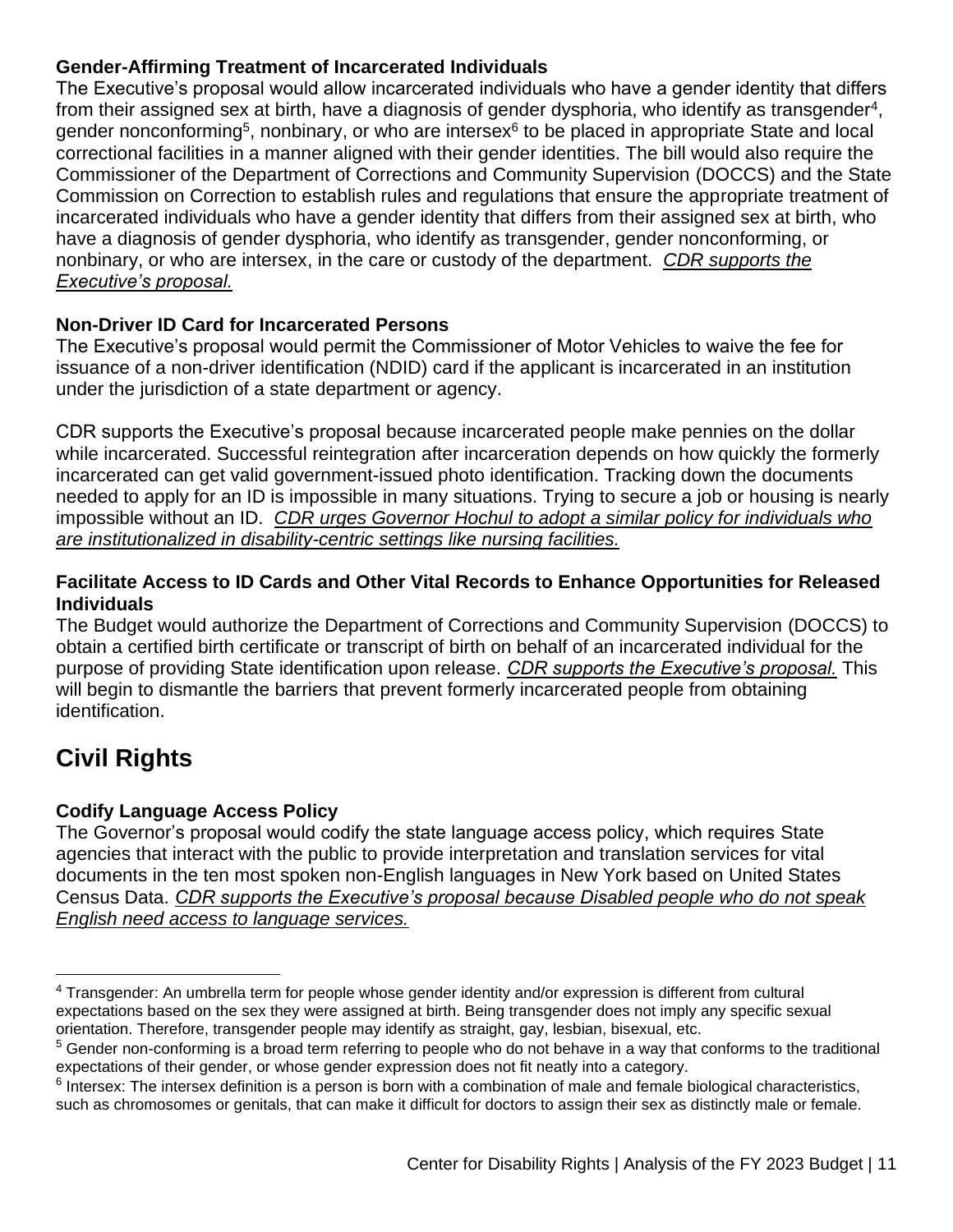#### **Gender-Affirming Treatment of Incarcerated Individuals**

The Executive's proposal would allow incarcerated individuals who have a gender identity that differs from their assigned sex at birth, have a diagnosis of gender dysphoria, who identify as transgender<sup>4</sup>, gender nonconforming<sup>5</sup>, nonbinary, or who are intersex<sup>6</sup> to be placed in appropriate State and local correctional facilities in a manner aligned with their gender identities. The bill would also require the Commissioner of the Department of Corrections and Community Supervision (DOCCS) and the State Commission on Correction to establish rules and regulations that ensure the appropriate treatment of incarcerated individuals who have a gender identity that differs from their assigned sex at birth, who have a diagnosis of gender dysphoria, who identify as transgender, gender nonconforming, or nonbinary, or who are intersex, in the care or custody of the department. *CDR supports the Executive's proposal.*

#### **Non-Driver ID Card for Incarcerated Persons**

The Executive's proposal would permit the Commissioner of Motor Vehicles to waive the fee for issuance of a non-driver identification (NDID) card if the applicant is incarcerated in an institution under the jurisdiction of a state department or agency.

CDR supports the Executive's proposal because incarcerated people make pennies on the dollar while incarcerated. Successful reintegration after incarceration depends on how quickly the formerly incarcerated can get valid government-issued photo identification. Tracking down the documents needed to apply for an ID is impossible in many situations. Trying to secure a job or housing is nearly impossible without an ID. *CDR urges Governor Hochul to adopt a similar policy for individuals who are institutionalized in disability-centric settings like nursing facilities.*

#### **Facilitate Access to ID Cards and Other Vital Records to Enhance Opportunities for Released Individuals**

The Budget would authorize the Department of Corrections and Community Supervision (DOCCS) to obtain a certified birth certificate or transcript of birth on behalf of an incarcerated individual for the purpose of providing State identification upon release. *CDR supports the Executive's proposal.* This will begin to dismantle the barriers that prevent formerly incarcerated people from obtaining identification.

# **Civil Rights**

#### **Codify Language Access Policy**

The Governor's proposal would codify the state language access policy, which requires State agencies that interact with the public to provide interpretation and translation services for vital documents in the ten most spoken non-English languages in New York based on United States Census Data. *CDR supports the Executive's proposal because Disabled people who do not speak English need access to language services.* 

<sup>4</sup> Transgender: An umbrella term for people whose gender identity and/or expression is different from cultural expectations based on the sex they were assigned at birth. Being transgender does not imply any specific sexual orientation. Therefore, transgender people may identify as straight, gay, lesbian, bisexual, etc.

 $5$  Gender non-conforming is a broad term referring to people who do not behave in a way that conforms to the traditional expectations of their gender, or whose gender expression does not fit neatly into a category.

 $6$  Intersex: The intersex definition is a person is born with a combination of male and female biological characteristics, such as chromosomes or genitals, that can make it difficult for doctors to assign their sex as distinctly male or female.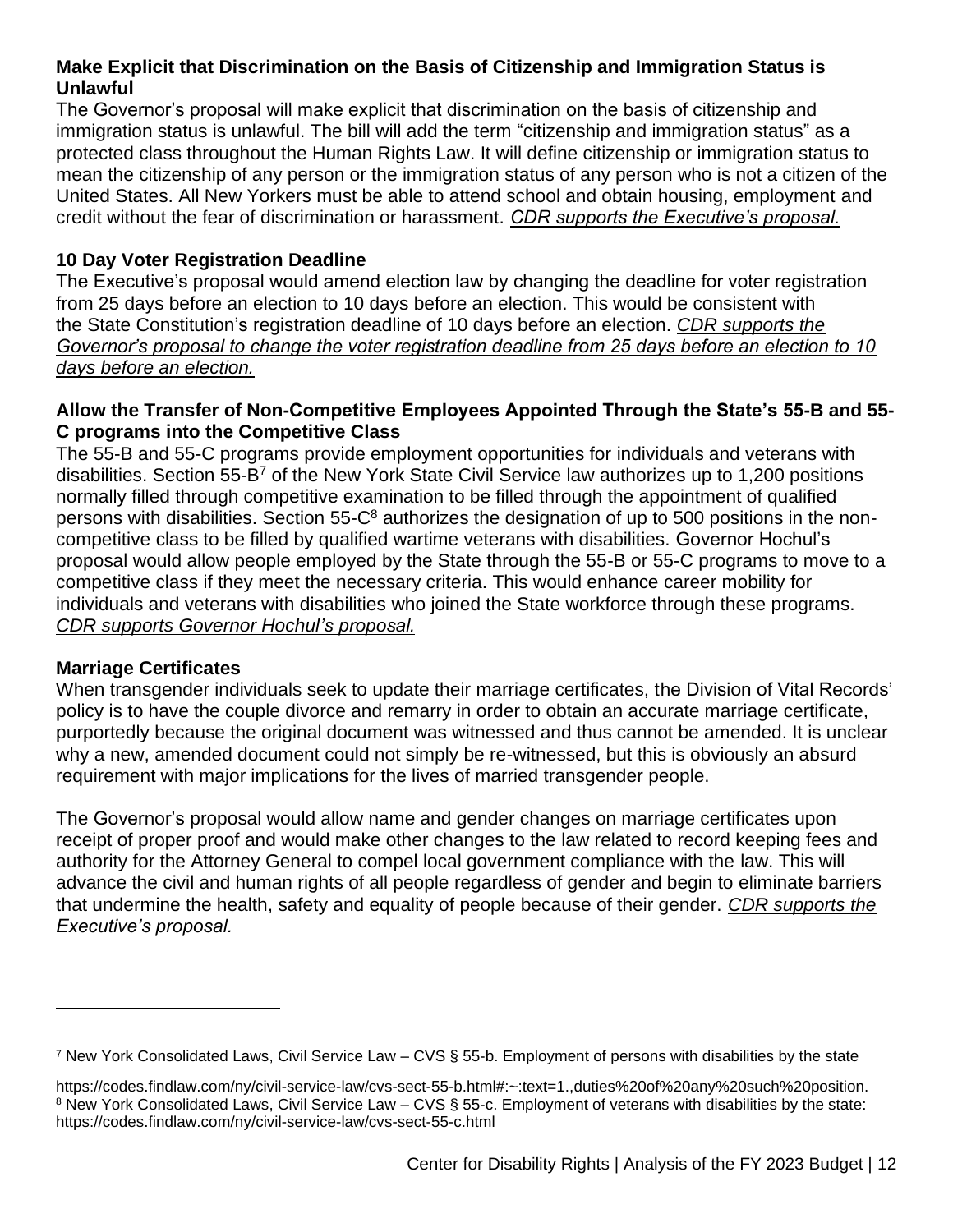#### **Make Explicit that Discrimination on the Basis of Citizenship and Immigration Status is Unlawful**

The Governor's proposal will make explicit that discrimination on the basis of citizenship and immigration status is unlawful. The bill will add the term "citizenship and immigration status" as a protected class throughout the Human Rights Law. It will define citizenship or immigration status to mean the citizenship of any person or the immigration status of any person who is not a citizen of the United States. All New Yorkers must be able to attend school and obtain housing, employment and credit without the fear of discrimination or harassment. *CDR supports the Executive's proposal.*

#### **10 Day Voter Registration Deadline**

The Executive's proposal would amend election law by changing the deadline for voter registration from 25 days before an election to 10 days before an election. This would be consistent with the State Constitution's registration deadline of 10 days before an election. *CDR supports the Governor's proposal to change the voter registration deadline from 25 days before an election to 10 days before an election.*

#### **Allow the Transfer of Non-Competitive Employees Appointed Through the State's 55-B and 55- C programs into the Competitive Class**

The 55-B and 55-C programs provide employment opportunities for individuals and veterans with disabilities. Section 55-B<sup>7</sup> of the New York State Civil Service law authorizes up to 1,200 positions normally filled through competitive examination to be filled through the appointment of qualified persons with disabilities. Section 55-C<sup>8</sup> authorizes the designation of up to 500 positions in the noncompetitive class to be filled by qualified wartime veterans with disabilities. Governor Hochul's proposal would allow people employed by the State through the 55-B or 55-C programs to move to a competitive class if they meet the necessary criteria. This would enhance career mobility for individuals and veterans with disabilities who joined the State workforce through these programs. *CDR supports Governor Hochul's proposal.*

#### **Marriage Certificates**

When transgender individuals seek to update their marriage certificates, the Division of Vital Records' policy is to have the couple divorce and remarry in order to obtain an accurate marriage certificate, purportedly because the original document was witnessed and thus cannot be amended. It is unclear why a new, amended document could not simply be re-witnessed, but this is obviously an absurd requirement with major implications for the lives of married transgender people.

The Governor's proposal would allow name and gender changes on marriage certificates upon receipt of proper proof and would make other changes to the law related to record keeping fees and authority for the Attorney General to compel local government compliance with the law. This will advance the civil and human rights of all people regardless of gender and begin to eliminate barriers that undermine the health, safety and equality of people because of their gender. *CDR supports the Executive's proposal.*

<sup>7</sup> New York Consolidated Laws, Civil Service Law – CVS § 55-b. Employment of persons with disabilities by the state

https://codes.findlaw.com/ny/civil-service-law/cvs-sect-55-b.html#:~:text=1.,duties%20of%20any%20such%20position. 8 New York Consolidated Laws, Civil Service Law – CVS § 55-c. Employment of veterans with disabilities by the state: https://codes.findlaw.com/ny/civil-service-law/cvs-sect-55-c.html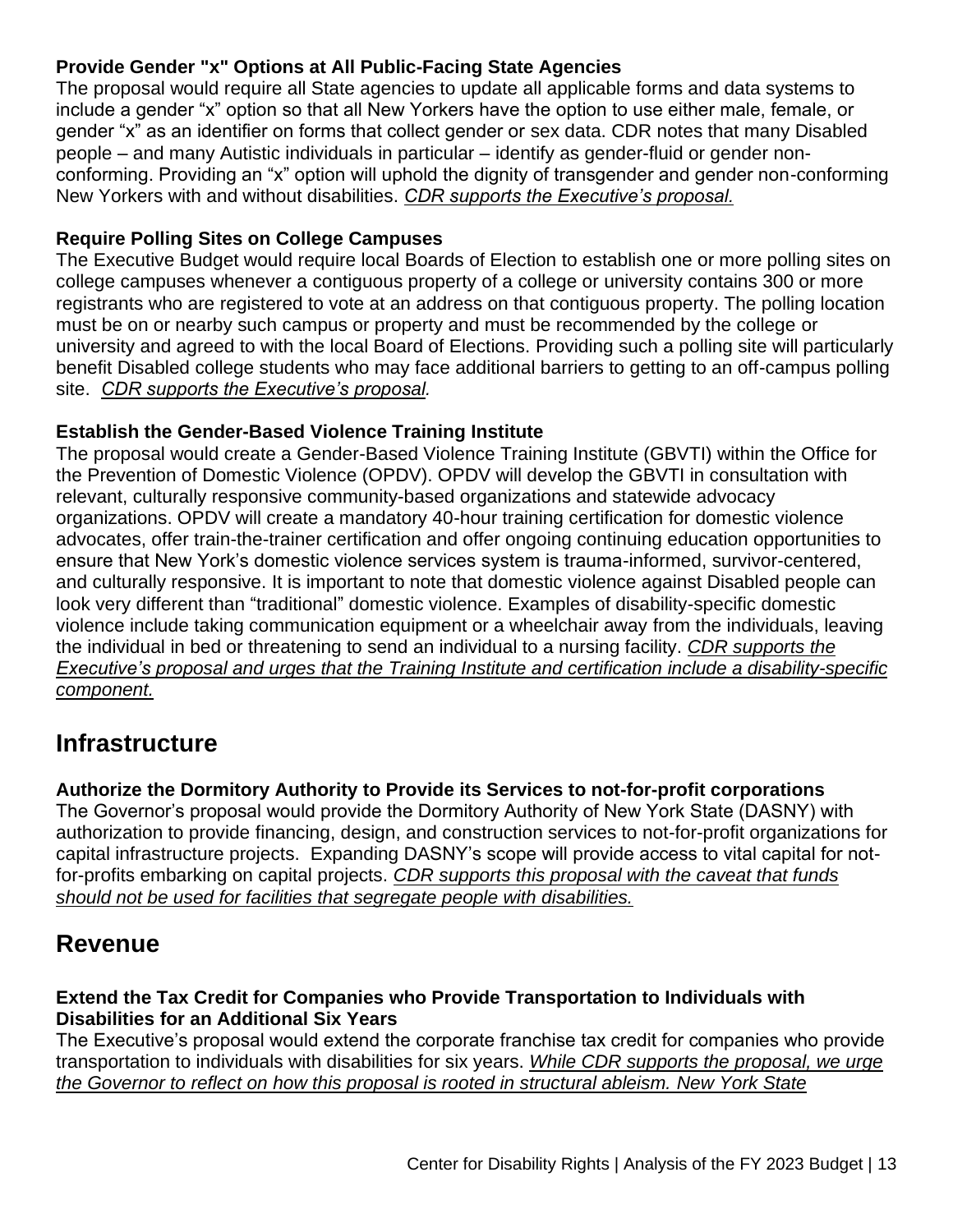#### **Provide Gender "x" Options at All Public-Facing State Agencies**

The proposal would require all State agencies to update all applicable forms and data systems to include a gender "x" option so that all New Yorkers have the option to use either male, female, or gender "x" as an identifier on forms that collect gender or sex data. CDR notes that many Disabled people – and many Autistic individuals in particular – identify as gender-fluid or gender nonconforming. Providing an "x" option will uphold the dignity of transgender and gender non-conforming New Yorkers with and without disabilities. *CDR supports the Executive's proposal.*

#### **Require Polling Sites on College Campuses**

The Executive Budget would require local Boards of Election to establish one or more polling sites on college campuses whenever a contiguous property of a college or university contains 300 or more registrants who are registered to vote at an address on that contiguous property. The polling location must be on or nearby such campus or property and must be recommended by the college or university and agreed to with the local Board of Elections. Providing such a polling site will particularly benefit Disabled college students who may face additional barriers to getting to an off-campus polling site. *CDR supports the Executive's proposal.*

#### **Establish the Gender-Based Violence Training Institute**

The proposal would create a Gender-Based Violence Training Institute (GBVTI) within the Office for the Prevention of Domestic Violence (OPDV). OPDV will develop the GBVTI in consultation with relevant, culturally responsive community-based organizations and statewide advocacy organizations. OPDV will create a mandatory 40-hour training certification for domestic violence advocates, offer train-the-trainer certification and offer ongoing continuing education opportunities to ensure that New York's domestic violence services system is trauma-informed, survivor-centered, and culturally responsive. It is important to note that domestic violence against Disabled people can look very different than "traditional" domestic violence. Examples of disability-specific domestic violence include taking communication equipment or a wheelchair away from the individuals, leaving the individual in bed or threatening to send an individual to a nursing facility. *CDR supports the Executive's proposal and urges that the Training Institute and certification include a disability-specific component.*

### **Infrastructure**

#### **Authorize the Dormitory Authority to Provide its Services to not-for-profit corporations**

The Governor's proposal would provide the Dormitory Authority of New York State (DASNY) with authorization to provide financing, design, and construction services to not-for-profit organizations for capital infrastructure projects. Expanding DASNY's scope will provide access to vital capital for notfor-profits embarking on capital projects. *CDR supports this proposal with the caveat that funds should not be used for facilities that segregate people with disabilities.*

### **Revenue**

#### **Extend the Tax Credit for Companies who Provide Transportation to Individuals with Disabilities for an Additional Six Years**

The Executive's proposal would extend the corporate franchise tax credit for companies who provide transportation to individuals with disabilities for six years. *While CDR supports the proposal, we urge the Governor to reflect on how this proposal is rooted in structural ableism. New York State*